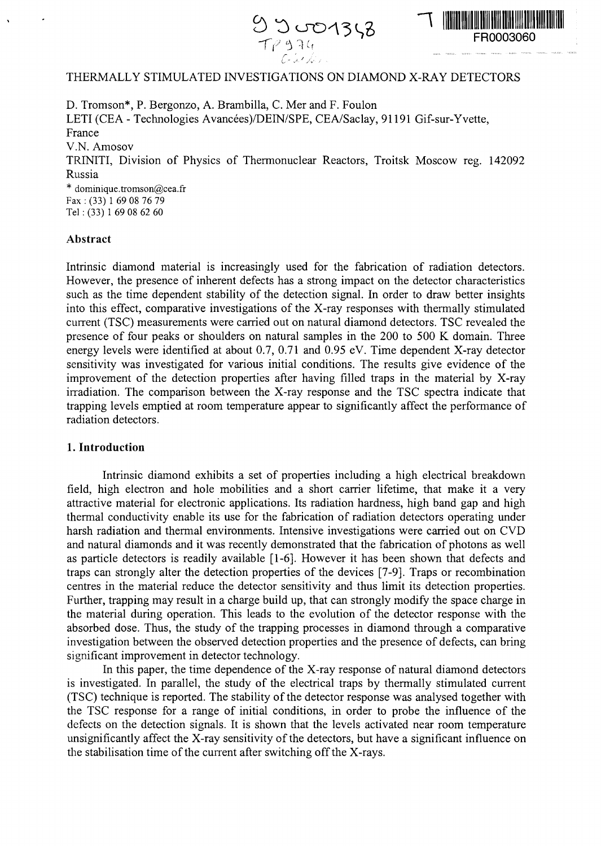



# THERMALLY STIMULATED INVESTIGATIONS ON DIAMOND X-RAY DETECTORS

D. Tromson\*, P. Bergonzo, A. Brambilla, C. Mer and F. Foulon LETI (CEA - Technologies Avancées)/DEIN/SPE, CEA/Saclay, 91191 Gif-sur-Yvette, France V.N. Amosov TRINITI, Division of Physics of Thermonuclear Reactors, Troitsk Moscow reg. 142092 Russia \* dominique.tromson@cea.fr Fax : (33) 1 69 08 76 79 Tel: (33) 1 69 08 62 60

### Abstract

Intrinsic diamond material is increasingly used for the fabrication of radiation detectors. However, the presence of inherent defects has a strong impact on the detector characteristics such as the time dependent stability of the detection signal. In order to draw better insights into this effect, comparative investigations of the X-ray responses with thermally stimulated current (TSC) measurements were carried out on natural diamond detectors. TSC revealed the presence of four peaks or shoulders on natural samples in the 200 to 500 K domain. Three energy levels were identified at about 0.7, 0.71 and 0.95 eV. Time dependent X-ray detector sensitivity was investigated for various initial conditions. The results give evidence of the improvement of the detection properties after having filled traps in the material by X-ray irradiation. The comparison between the X-ray response and the TSC spectra indicate that trapping levels emptied at room temperature appear to significantly affect the performance of radiation detectors.

## **1. Introduction**

Intrinsic diamond exhibits a set of properties including a high electrical breakdown field, high electron and hole mobilities and a short carrier lifetime, that make it a very attractive material for electronic applications. Its radiation hardness, high band gap and high thermal conductivity enable its use for the fabrication of radiation detectors operating under harsh radiation and thermal environments. Intensive investigations were carried out on CVD and natural diamonds and it was recently demonstrated that the fabrication of photons as well as particle detectors is readily available [1-6]. However it has been shown that defects and traps can strongly alter the detection properties of the devices [7-9]. Traps or recombination centres in the material reduce the detector sensitivity and thus limit its detection properties. Further, trapping may result in a charge build up, that can strongly modify the space charge in the material during operation. This leads to the evolution of the detector response with the absorbed dose. Thus, the study of the trapping processes in diamond through a comparative investigation between the observed detection properties and the presence of defects, can bring significant improvement in detector technology.

In this paper, the time dependence of the X-ray response of natural diamond detectors is investigated. In parallel, the study of the electrical traps by thermally stimulated current (TSC) technique is reported. The stability of the detector response was analysed together with the TSC response for a range of initial conditions, in order to probe the influence of the defects on the detection signals. It is shown that the levels activated near room temperature unsignificantly affect the X-ray sensitivity of the detectors, but have a significant influence on the stabilisation time of the current after switching off the X-rays.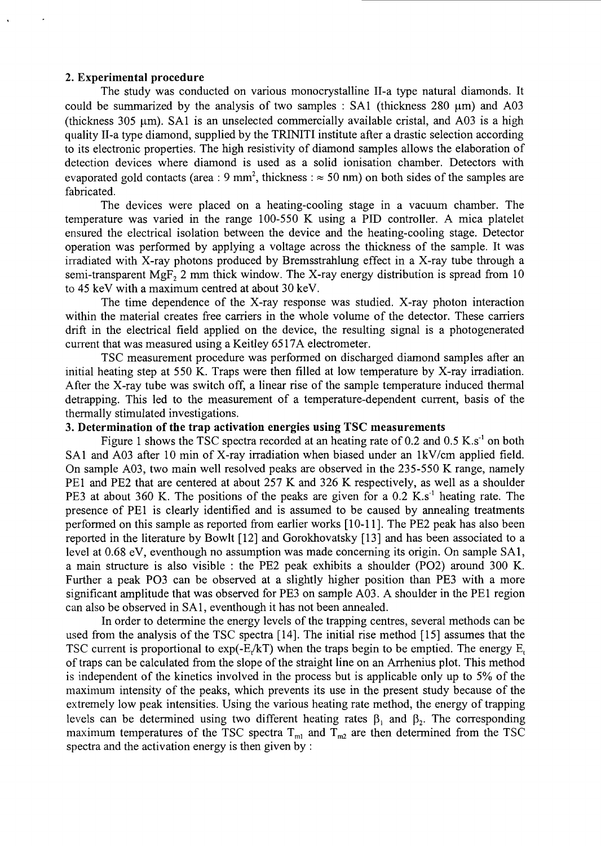### **2. Experimental procedure**

The study was conducted on various monocrystalline Il-a type natural diamonds. It could be summarized by the analysis of two samples :  $SA1$  (thickness 280  $\mu$ m) and A03 (thickness 305  $\mu$ m). SA1 is an unselected commercially available cristal, and A03 is a high quality Il-a type diamond, supplied by the TRINITI institute after a drastic selection according to its electronic properties. The high resistivity of diamond samples allows the elaboration of detection devices where diamond is used as a solid ionisation chamber. Detectors with evaporated gold contacts (area  $\cdot$  9 mm<sup>2</sup> thickness :  $\approx$  50 nm) on both sides of the samples are fabricated.

The devices were placed on a heating-cooling stage in a vacuum chamber. The temperature was varied in the range 100-550 K using a PID controller. A mica platelet ensured the electrical isolation between the device and the heating-cooling stage. Detector operation was performed by applying a voltage across the thickness of the sample. It was irradiated with X-ray photons produced by Bremsstrahlung effect in a X-ray tube through a semi-transparent MgF<sub>2</sub> 2 mm thick window. The X-ray energy distribution is spread from 10 to 45 keV with a maximum centred at about 30 keV.

The time dependence of the X-ray response was studied. X-ray photon interaction within the material creates free carriers in the whole volume of the detector. These carriers drift in the electrical field applied on the device, the resulting signal is a photogenerated current that was measured using a Keitley 6517A electrometer.

TSC measurement procedure was performed on discharged diamond samples after an initial heating step at 550 K. Traps were then filled at low temperature by X-ray irradiation. After the X-ray tube was switch off, a linear rise of the sample temperature induced thermal detrapping. This led to the measurement of a temperature-dependent current, basis of the thermally stimulated investigations.

### 3. **Determination of the trap activation energies using TSC measurements**

Figure 1 shows the TSC spectra recorded at an heating rate of 0.2 and 0.5 K.s<sup>-1</sup> on both SA1 and A03 after 10 min of X-ray irradiation when biased under an lkV/cm applied field. On sample A03, two main well resolved peaks are observed in the 235-550 K range, namely PE1 and PE2 that are centered at about 257 K and 326 K respectively, as well as a shoulder PE3 at about 360 K. The positions of the peaks are given for a  $0.2$  K.s<sup>-1</sup> heating rate. The presence of PE1 is clearly identified and is assumed to be caused by annealing treatments performed on this sample as reported from earlier works [10-11]. The PE2 peak has also been reported in the literature by Bowlt [12] and Gorokhovatsky [13] and has been associated to a level at 0.68 eV, eventhough no assumption was made concerning its origin. On sample SA1, a main structure is also visible : the PE2 peak exhibits a shoulder (PO2) around 300 K. Further a peak PO3 can be observed at a slightly higher position than PE3 with a more significant amplitude that was observed for PE3 on sample A03. A shoulder in the PE1 region can also be observed in SA1, eventhough it has not been annealed.

In order to determine the energy levels of the trapping centres, several methods can be used from the analysis of the TSC spectra [14]. The initial rise method [15] assumes that the TSC current is proportional to  $exp(-E/kT)$  when the traps begin to be emptied. The energy  $E_t$ of traps can be calculated from the slope of the straight line on an Arrhenius plot. This method is independent of the kinetics involved in the process but is applicable only up to 5% of the maximum intensity of the peaks, which prevents its use in the present study because of the extremely low peak intensities. Using the various heating rate method, the energy of trapping levels can be determined using two different heating rates  $\beta_1$  and  $\beta_2$ . The corresponding maximum temperatures of the TSC spectra  $T_{m_1}$  and  $T_{m_2}$  are then determined from the TSC spectra and the activation energy is then given by :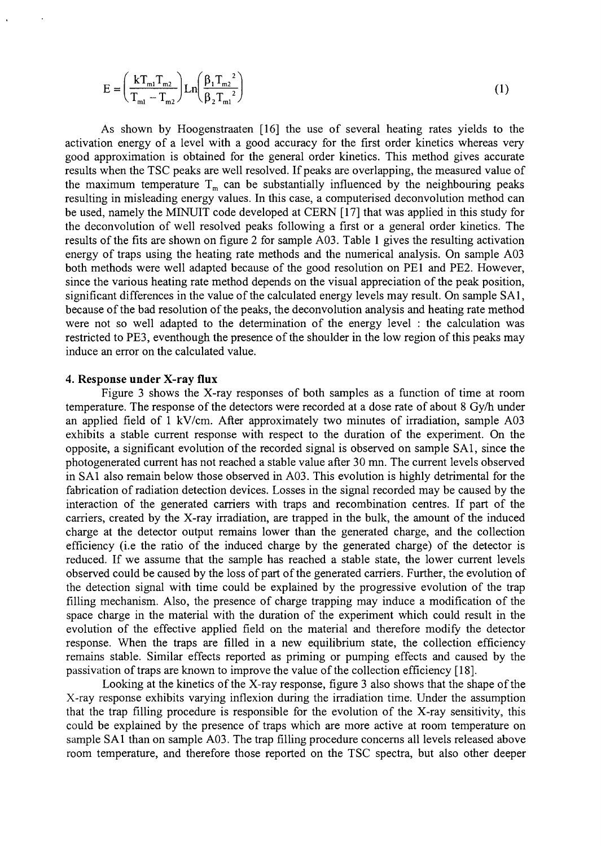$$
E = \left(\frac{kT_{m1}T_{m2}}{T_{m1} - T_{m2}}\right) Ln \left(\frac{\beta_1 T_{m2}^2}{\beta_2 T_{m1}^2}\right)
$$
 (1)

As shown by Hoogenstraaten [16] the use of several heating rates yields to the activation energy of a level with a good accuracy for the first order kinetics whereas very good approximation is obtained for the general order kinetics. This method gives accurate results when the TSC peaks are well resolved. If peaks are overlapping, the measured value of the maximum temperature  $T_m$  can be substantially influenced by the neighbouring peaks resulting in misleading energy values. In this case, a computerised deconvolution method can be used, namely the MINUIT code developed at CERN [17] that was applied in this study for the deconvolution of well resolved peaks following a first or a general order kinetics. The results of the fits are shown on figure 2 for sample A03. Table 1 gives the resulting activation energy of traps using the heating rate methods and the numerical analysis. On sample A03 both methods were well adapted because of the good resolution on PE1 and PE2. However, since the various heating rate method depends on the visual appreciation of the peak position, significant differences in the value of the calculated energy levels may result. On sample SA1, because of the bad resolution of the peaks, the deconvolution analysis and heating rate method were not so well adapted to the determination of the energy level : the calculation was restricted to PE3, eventhough the presence of the shoulder in the low region of this peaks may induce an error on the calculated value.

#### **4. Response under X-ray flux**

Figure 3 shows the X-ray responses of both samples as a function of time at room temperature. The response of the detectors were recorded at a dose rate of about 8 Gy/h under an applied field of 1 kV/cm. After approximately two minutes of irradiation, sample A03 exhibits a stable current response with respect to the duration of the experiment. On the opposite, a significant evolution of the recorded signal is observed on sample SA1, since the photogenerated current has not reached a stable value after 30 mn. The current levels observed in SA1 also remain below those observed in A03. This evolution is highly detrimental for the fabrication of radiation detection devices. Losses in the signal recorded may be caused by the interaction of the generated carriers with traps and recombination centres. If part of the carriers, created by the X-ray irradiation, are trapped in the bulk, the amount of the induced charge at the detector output remains lower than the generated charge, and the collection efficiency (i.e the ratio of the induced charge by the generated charge) of the detector is reduced. If we assume that the sample has reached a stable state, the lower current levels observed could be caused by the loss of part of the generated carriers. Further, the evolution of the detection signal with time could be explained by the progressive evolution of the trap filling mechanism. Also, the presence of charge trapping may induce a modification of the space charge in the material with the duration of the experiment which could result in the evolution of the effective applied field on the material and therefore modify the detector response. When the traps are filled in a new equilibrium state, the collection efficiency remains stable. Similar effects reported as priming or pumping effects and caused by the passivation of traps are known to improve the value of the collection efficiency [18].

Looking at the kinetics of the X-ray response, figure 3 also shows that the shape of the X-ray response exhibits varying inflexion during the irradiation time. Under the assumption that the trap filling procedure is responsible for the evolution of the X-ray sensitivity, this could be explained by the presence of traps which are more active at room temperature on sample SA1 than on sample A03. The trap filling procedure concerns all levels released above room temperature, and therefore those reported on the TSC spectra, but also other deeper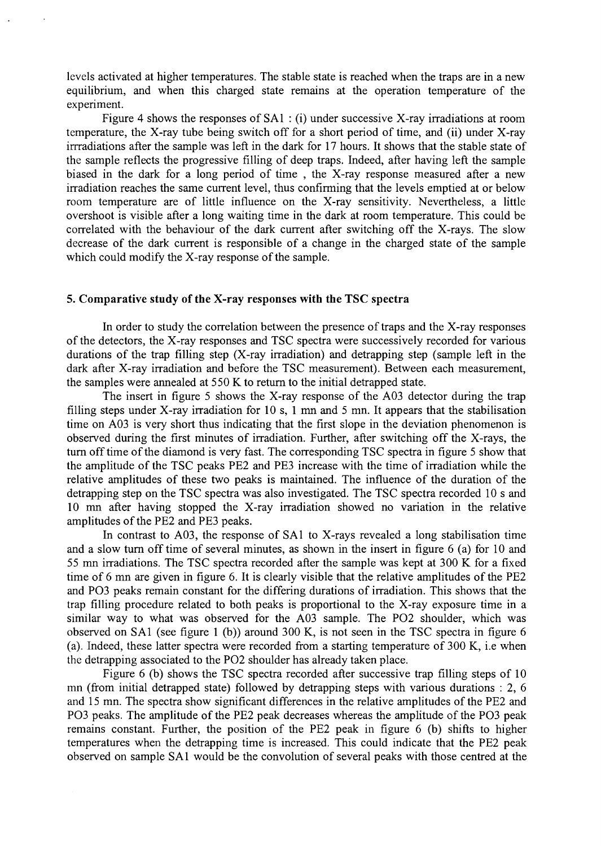levels activated at higher temperatures. The stable state is reached when the traps are in a new equilibrium, and when this charged state remains at the operation temperature of the experiment.

Figure 4 shows the responses of SAl : (i) under successive X-ray irradiations at room temperature, the X-ray tube being switch off for a short period of time, and (ii) under X-ray irrradiations after the sample was left in the dark for 17 hours. It shows that the stable state of the sample reflects the progressive filling of deep traps. Indeed, after having left the sample biased in the dark for a long period of time , the X-ray response measured after a new irradiation reaches the same current level, thus confirming that the levels emptied at or below room temperature are of little influence on the X-ray sensitivity. Nevertheless, a little overshoot is visible after a long waiting time in the dark at room temperature. This could be correlated with the behaviour of the dark current after switching off the X-rays. The slow decrease of the dark current is responsible of a change in the charged state of the sample which could modify the X-ray response of the sample.

## **5. Comparative study of the X-ray responses with the TSC spectra**

In order to study the correlation between the presence of traps and the X-ray responses of the detectors, the X-ray responses and TSC spectra were successively recorded for various durations of the trap filling step (X-ray irradiation) and detrapping step (sample left in the dark after X-ray irradiation and before the TSC measurement). Between each measurement, the samples were annealed at 550 K to return to the initial detrapped state.

The insert in figure 5 shows the X-ray response of the A03 detector during the trap filling steps under X-ray irradiation for 10 s, 1 mn and 5 mn. It appears that the stabilisation time on A03 is very short thus indicating that the first slope in the deviation phenomenon is observed during the first minutes of irradiation. Further, after switching off the X-rays, the turn off time of the diamond is very fast. The corresponding TSC spectra in figure 5 show that the amplitude of the TSC peaks PE2 and PE3 increase with the time of irradiation while the relative amplitudes of these two peaks is maintained. The influence of the duration of the detrapping step on the TSC spectra was also investigated. The TSC spectra recorded 10 s and 10 mn after having stopped the X-ray irradiation showed no variation in the relative amplitudes of the PE2 and PE3 peaks.

In contrast to A03, the response of SAl to X-rays revealed a long stabilisation time and a slow turn off time of several minutes, as shown in the insert in figure 6 (a) for 10 and 55 mn irradiations. The TSC spectra recorded after the sample was kept at 300 K for a fixed time of 6 mn are given in figure 6. It is clearly visible that the relative amplitudes of the PE2 and PO3 peaks remain constant for the differing durations of irradiation. This shows that the trap filling procedure related to both peaks is proportional to the X-ray exposure time in a similar way to what was observed for the A03 sample. The PO2 shoulder, which was observed on SAl (see figure 1 (b)) around 300 K, is not seen in the TSC spectra in figure 6 (a). Indeed, these latter spectra were recorded from a starting temperature of 300 K, i.e when the detrapping associated to the PO2 shoulder has already taken place.

Figure 6 (b) shows the TSC spectra recorded after successive trap filling steps of 10 mn (from initial detrapped state) followed by detrapping steps with various durations : 2, 6 and 15 mn. The spectra show significant differences in the relative amplitudes of the PE2 and PO3 peaks. The amplitude of the PE2 peak decreases whereas the amplitude of the PO3 peak remains constant. Further, the position of the PE2 peak in figure 6 (b) shifts to higher temperatures when the detrapping time is increased. This could indicate that the PE2 peak observed on sample SAl would be the convolution of several peaks with those centred at the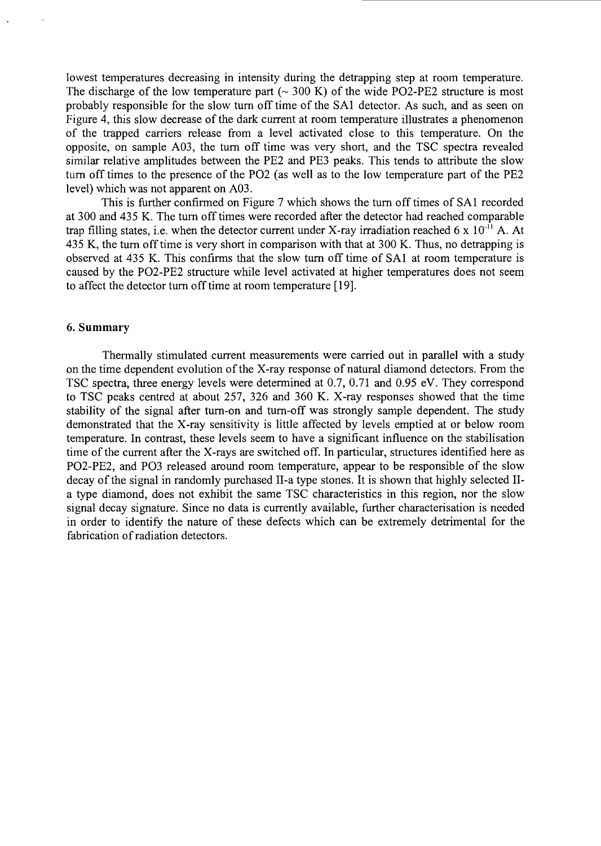lowest temperatures decreasing in intensity during the detrapping step at room temperature. The discharge of the low temperature part  $\sim 300$  K) of the wide PO2-PE2 structure is most probably responsible for the slow turn off time of the SA1 detector. As such, and as seen on Figure 4, this slow decrease of the dark current at room temperature illustrates a phenomenon of the trapped carriers release from a level activated close to this temperature. On the opposite, on sample A03, the turn off time was very short, and the TSC spectra revealed similar relative amplitudes between the PE2 and PE3 peaks. This tends to attribute the slow turn off times to the presence of the PO2 (as well as to the low temperature part of the PE2 level) which was not apparent on A03.

This is further confirmed on Figure 7 which shows the turn off times of SA1 recorded at 300 and 435 K. The turn off times were recorded after the detector had reached comparable trap filling states, i.e. when the detector current under X-ray irradiation reached 6 x  $10^{-11}$  A. At 435 K, the turn off time is very short in comparison with that at 300 K. Thus, no detrapping is observed at 435 K. This confirms that the slow turn off time of SA1 at room temperature is caused by the PO2-PE2 structure while level activated at higher temperatures does not seem to affect the detector turn off time at room temperature [19].

## 6. Summary

Thermally stimulated current measurements were carried out in parallel with a study on the time dependent evolution of the X-ray response of natural diamond detectors. From the TSC spectra, three energy levels were determined at 0.7, 0.71 and 0.95 eV. They correspond to TSC peaks centred at about 257, 326 and 360 K. X-ray responses showed that the time stability of the signal after turn-on and turn-off was strongly sample dependent. The study demonstrated that the X-ray sensitivity is little affected by levels emptied at or below room temperature. In contrast, these levels seem to have a significant influence on the stabilisation time of the current after the X-rays are switched off. In particular, structures identified here as PO2-PE2, and PO3 released around room temperature, appear to be responsible of the slow decay of the signal in randomly purchased Il-a type stones. It is shown that highly selected IIa type diamond, does not exhibit the same TSC characteristics in this region, nor the slow signal decay signature. Since no data is currently available, further characterisation is needed in order to identify the nature of these defects which can be extremely detrimental for the fabrication of radiation detectors.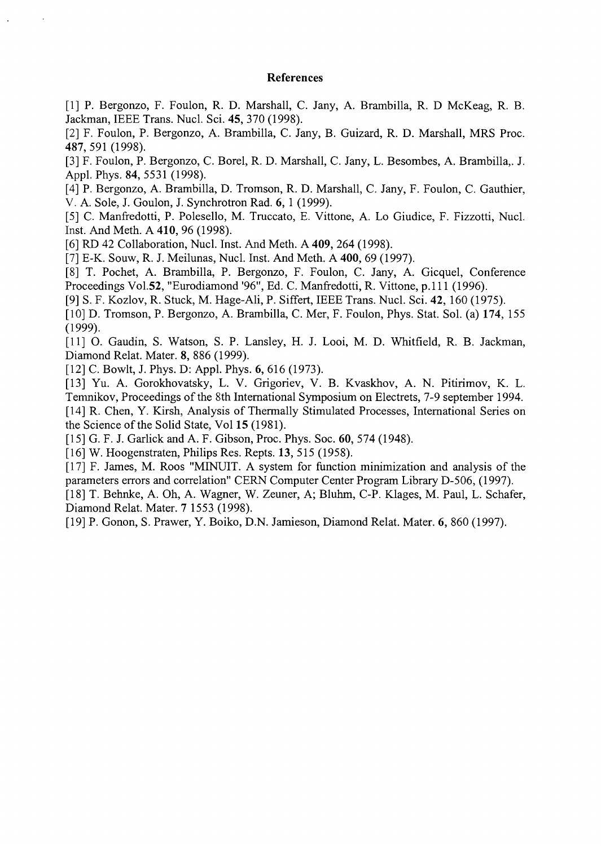#### **References**

[I] P. Bergonzo, F. Foulon, R. D. Marshall, C. Jany, A. Brambilla, R. D McKeag, R. B. Jackman, IEEE Trans. Nucl. Sei. 45, 370 (1998).

[2] F. Foulon, P. Bergonzo, A. Brambilla, C. Jany, B. Guizard, R. D. Marshall, MRS Proc. 487, 591 (1998).

[3] F. Foulon, P. Bergonzo, C. Borel, R. D. Marshall, C. Jany, L. Besombes, A. Brambilla,. J. Appl. Phys. 84, 5531 (1998).

[4] P. Bergonzo, A. Brambilla, D. Tromson, R. D. Marshall, C. Jany, F. Foulon, C. Gauthier, V. A. Sole, J. Goulon, J. Synchrotron Rad. 6, 1 (1999).

[5] C. Manfredotti, P. Polesello, M. Truccato, E. Vittone, A. Lo Giudice, F. Fizzotti, Nucl. Inst. And Meth. A **410,** 96 (1998).

[6] RD 42 Collaboration, Nucl. Inst. And Meth. A **409,** 264 (1998).

[7] E-K. Souw, R. J. Meilunas, Nucl. Inst. And Meth. A **400,** 69 (1997).

[8] T. Pochet, A. Brambilla, P. Bergonzo, F. Foulon, C. Jany, A. Gicquel, Conference Proceedings Vol.52, "Eurodiamond '96", Ed. C. Manfredotti, R. Vittone, p.lll (1996).

[9] S. F. Kozlov, R. Stuck, M. Hage-Ali, P. Siffert, IEEE Trans. Nucl. Sei. 42, 160 (1975).

[10] D. Tromson, P. Bergonzo, A. Brambilla, C. Mer, F. Foulon, Phys. Stat. Sol. (a) **174,** 155 (1999).

[11] O. Gaudin, S. Watson, S. P. Lansley, H. J. Looi, M. D. Whitfield, R. B. Jackman, Diamond Relat. Mater. 8, 886 (1999).

[12] C. Bowlt, J. Phys. D: Appl. Phys. 6, 616 (1973).

[13] Yu. A. Gorokhovatsky, L. V. Grigoriev, V. B. Kvaskhov, A. N. Pitirimov, K. L. Temnikov, Proceedings of the 8th International Symposium on Electrets, 7-9 september 1994.

[14] R. Chen, Y. Kirsh, Analysis of Thermally Stimulated Processes, International Series on the Science of the Solid State, Vol 15 (1981).

[15] G. F. J. Garlick and A. F. Gibson, Proc. Phys. Soc. 60, 574 (1948).

[16] W. Hoogenstraten, Philips Res. Repts. 13, 515 (1958).

[17] F. James, M. Roos "MINUIT. A system for function minimization and analysis of the parameters errors and correlation" CERN Computer Center Program Library D-506, (1997).

[18] T. Behnke, A. Oh, A. Wagner, W. Zeuner, A; Bluhm, C-P. Klages, M. Paul, L. Schäfer, Diamond Relat. Mater. 7 1553 (1998).

[19] P. Gonon, S. Prawer, Y. Boiko, D.N. Jamieson, Diamond Relat. Mater. 6, 860 (1997).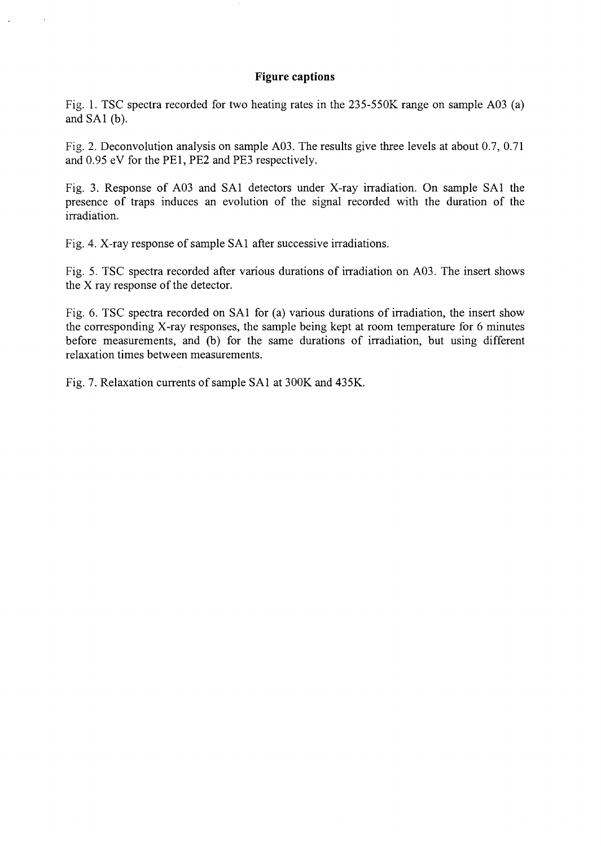## **Figure captions**

Fig. 1. TSC spectra recorded for two heating rates in the 235-550K range on sample A03 (a) and SA1 (b).

Fig. 2. Deconvolution analysis on sample A03. The results give three levels at about 0.7, 0.71 and 0.95 eV for the PE1, PE2 and PE3 respectively.

Fig. 3. Response of A03 and SA1 detectors under X-ray irradiation. On sample SA1 the presence of traps induces an evolution of the signal recorded with the duration of the irradiation.

Fig. 4. X-ray response of sample SA1 after successive irradiations.

Fig. 5. TSC spectra recorded after various durations of irradiation on A03. The insert shows the X ray response of the detector.

Fig. 6. TSC spectra recorded on SA1 for (a) various durations of irradiation, the insert show the corresponding X-ray responses, the sample being kept at room temperature for 6 minutes before measurements, and (b) for the same durations of irradiation, but using different relaxation times between measurements.

Fig. 7. Relaxation currents of sample SA1 at 300K and 435K.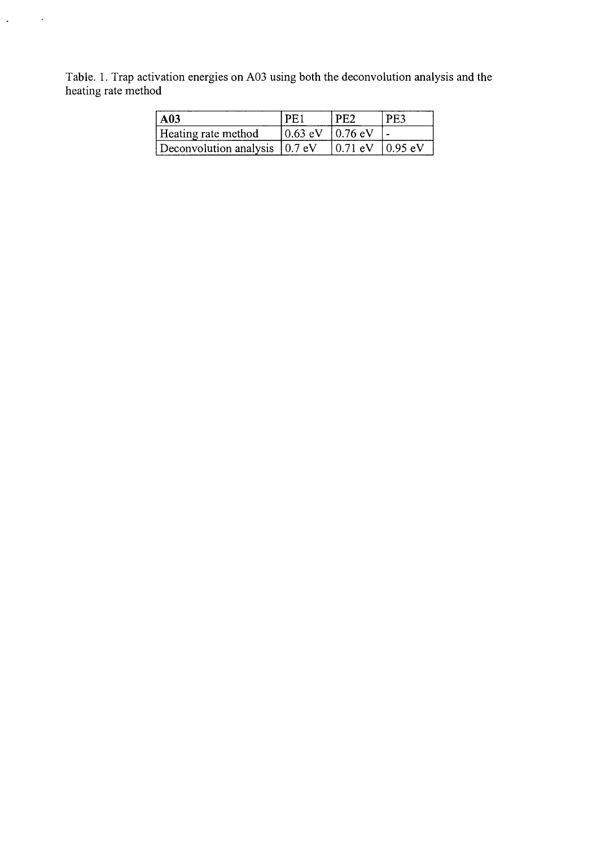Table. 1. Trap activation energies on A03 using both the deconvolution analysis and the heating rate method

 $\Delta \sim 10^{11}$  km

| A <sub>03</sub>                   | `PF ,                 |            | -PE3            |
|-----------------------------------|-----------------------|------------|-----------------|
| Heating rate method               | $10.63$ eV $10.76$ eV |            |                 |
| Deconvolution analysis $(0.7)$ eV |                       | $10.71$ eV | $\vert$ 0.95 eV |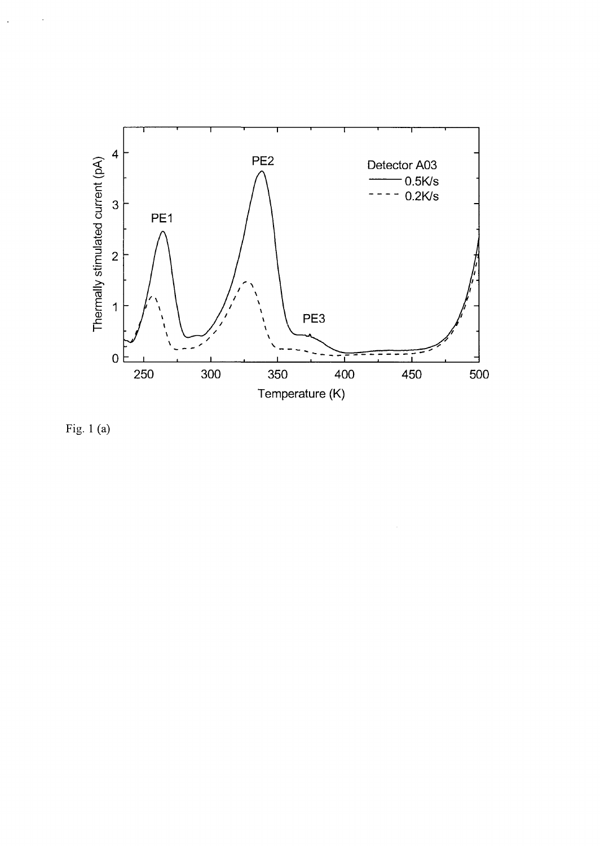

 $\bar{\gamma}$ 

Fig. 1 (a)

 $\bar{z}$ 

 $\ddot{\phantom{1}}$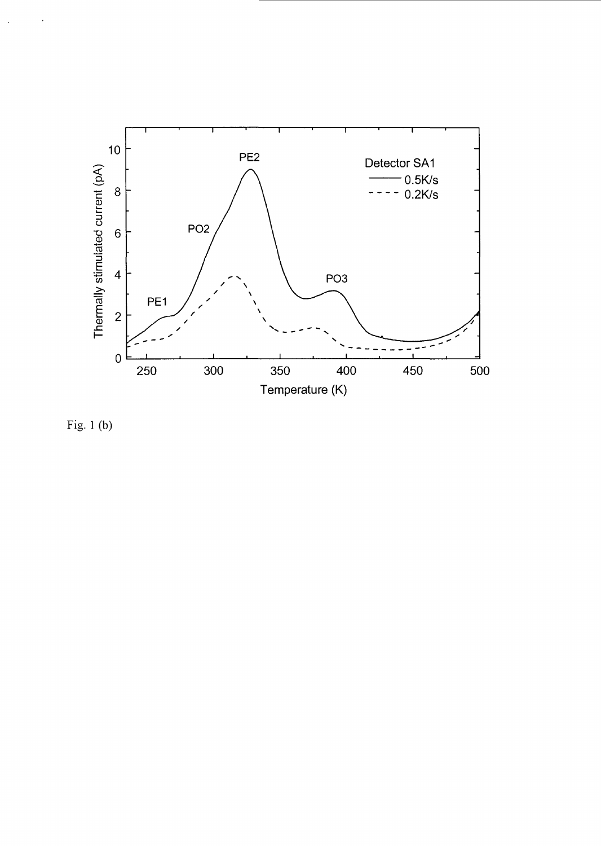

Fig. 1 (b)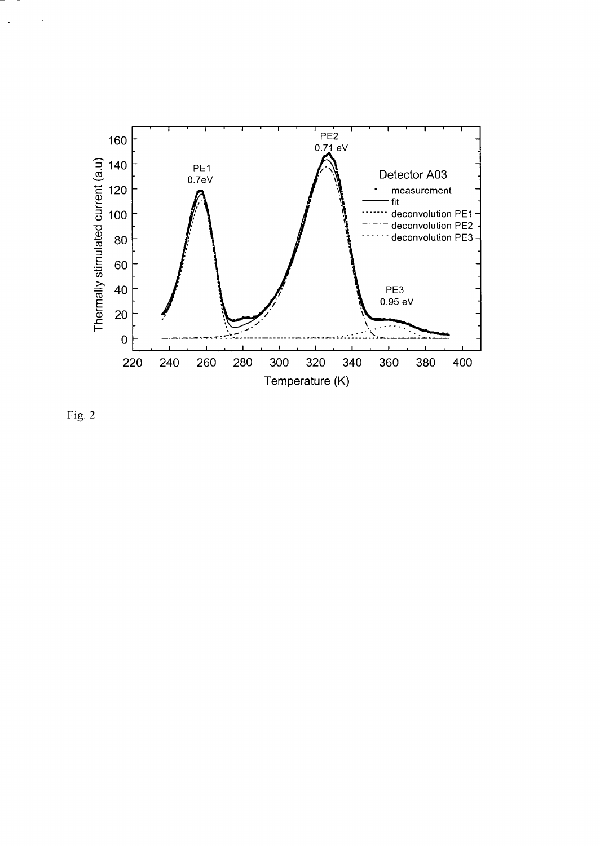

Fig. 2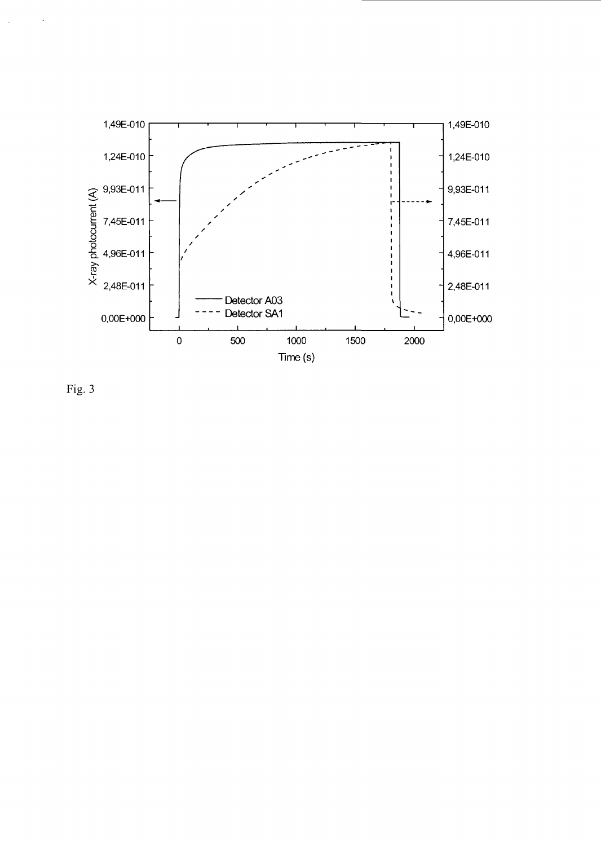

Fig. 3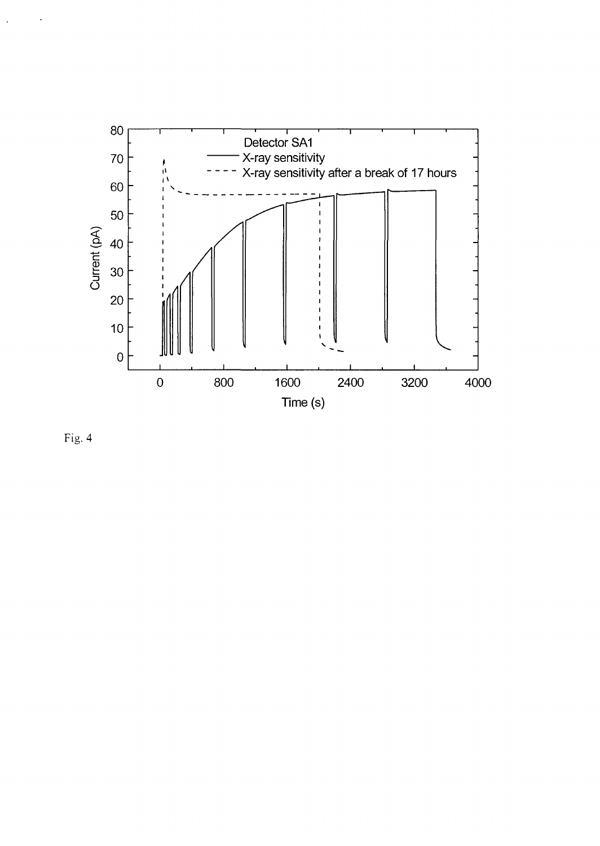

Fig. 4

 $\ddot{\phantom{a}}$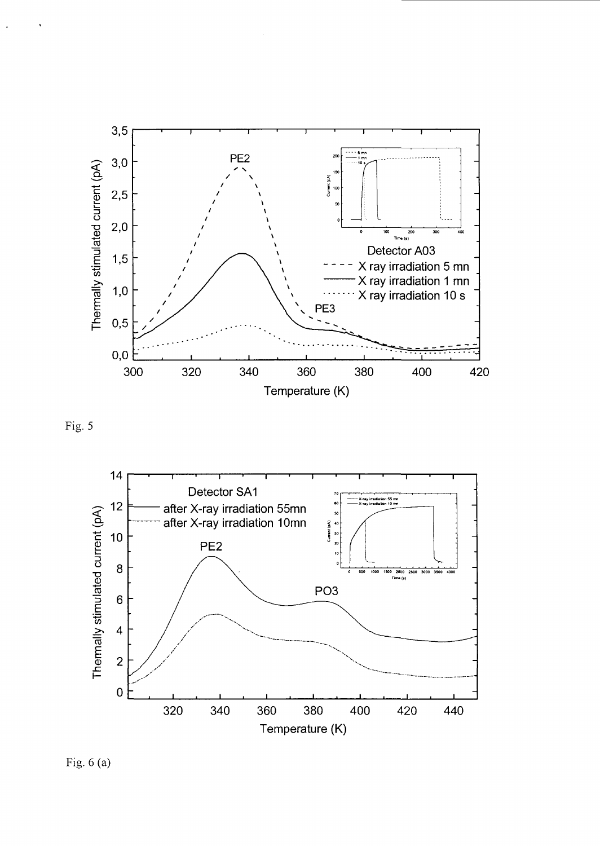





Fig.  $6(a)$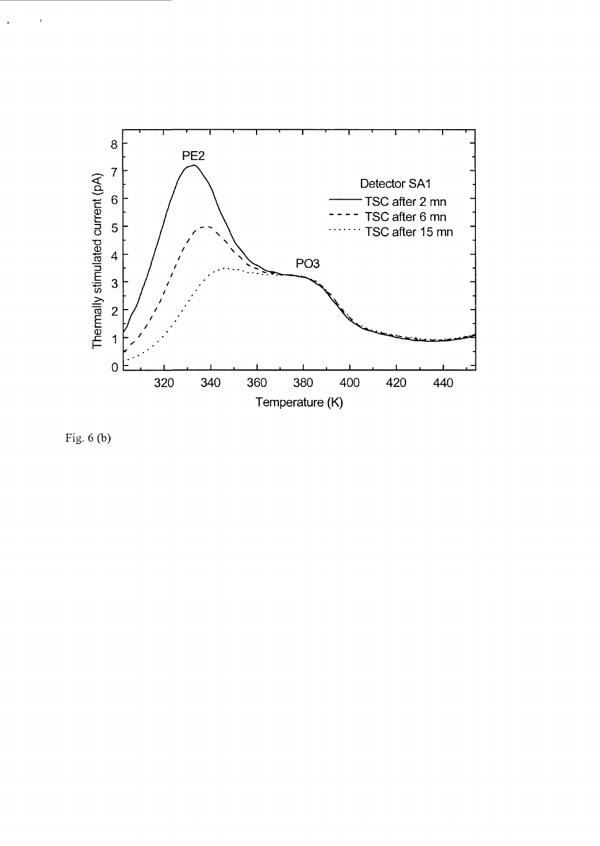

Fig. 6 (b)

 $\ddot{\cdot}$